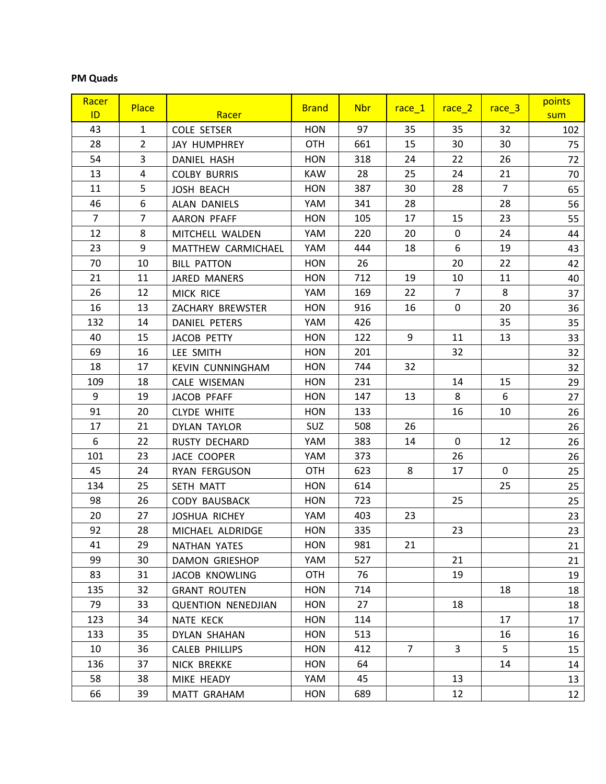## **PM Quads**

| Racer<br>ID.   | <b>Place</b>   | Racer                     | <b>Brand</b> | <b>Nbr</b> | $rac{e}{1}$     | $rac{e}{2}$    | race_3         | points<br>sum |
|----------------|----------------|---------------------------|--------------|------------|-----------------|----------------|----------------|---------------|
| 43             | $\mathbf{1}$   | <b>COLE SETSER</b>        | <b>HON</b>   | 97         | 35              | 35             | 32             | 102           |
| 28             | $\overline{2}$ | <b>JAY HUMPHREY</b>       | <b>OTH</b>   | 661        | 15              | 30             | 30             | 75            |
| 54             | 3              | DANIEL HASH               | <b>HON</b>   | 318        | 24              | 22             | 26             | 72            |
| 13             | 4              | <b>COLBY BURRIS</b>       | <b>KAW</b>   | 28         | 25              | 24             | 21             | 70            |
| 11             | 5              | <b>JOSH BEACH</b>         | <b>HON</b>   | 387        | 30              | 28             | $\overline{7}$ | 65            |
| 46             | 6              | ALAN DANIELS              | YAM          | 341        | 28              |                | 28             | 56            |
| $\overline{7}$ | $\overline{7}$ | AARON PFAFF               | <b>HON</b>   | 105        | 17              | 15             | 23             | 55            |
| 12             | 8              | MITCHELL WALDEN           | YAM          | 220        | 20              | 0              | 24             | 44            |
| 23             | 9              | MATTHEW CARMICHAEL        | YAM          | 444        | 18              | 6              | 19             | 43            |
| 70             | 10             | <b>BILL PATTON</b>        | <b>HON</b>   | 26         |                 | 20             | 22             | 42            |
| 21             | 11             | JARED MANERS              | <b>HON</b>   | 712        | 19              | 10             | 11             | 40            |
| 26             | 12             | MICK RICE                 | YAM          | 169        | 22              | $\overline{7}$ | 8              | 37            |
| 16             | 13             | ZACHARY BREWSTER          | <b>HON</b>   | 916        | 16              | $\mathbf 0$    | 20             | 36            |
| 132            | 14             | DANIEL PETERS             | YAM          | 426        |                 |                | 35             | 35            |
| 40             | 15             | <b>JACOB PETTY</b>        | <b>HON</b>   | 122        | 9               | 11             | 13             | 33            |
| 69             | 16             | LEE SMITH                 | <b>HON</b>   | 201        |                 | 32             |                | 32            |
| 18             | 17             | <b>KEVIN CUNNINGHAM</b>   | <b>HON</b>   | 744        | 32              |                |                | 32            |
| 109            | 18             | CALE WISEMAN              | <b>HON</b>   | 231        |                 | 14             | 15             | 29            |
| 9              | 19             | JACOB PFAFF               | <b>HON</b>   | 147        | 13              | 8              | 6              | 27            |
| 91             | 20             | <b>CLYDE WHITE</b>        | <b>HON</b>   | 133        |                 | 16             | 10             | 26            |
| 17             | 21             | <b>DYLAN TAYLOR</b>       | SUZ          | 508        | 26              |                |                | 26            |
| 6              | 22             | RUSTY DECHARD             | YAM          | 383        | 14              | 0              | 12             | 26            |
| 101            | 23             | JACE COOPER               | YAM          | 373        |                 | 26             |                | 26            |
| 45             | 24             | RYAN FERGUSON             | <b>OTH</b>   | 623        | 8               | 17             | 0              | 25            |
| 134            | 25             | SETH MATT                 | <b>HON</b>   | 614        |                 |                | 25             | 25            |
| 98             | 26             | <b>CODY BAUSBACK</b>      | <b>HON</b>   | 723        |                 | 25             |                | 25            |
| 20             | 27             | <b>JOSHUA RICHEY</b>      | YAM          | 403        | 23              |                |                | 23            |
| 92             | 28             | MICHAEL ALDRIDGE          | <b>HON</b>   | 335        |                 | 23             |                | 23            |
| 41             | 29             | NATHAN YATES              | HON          | 981        | 21              |                |                | 21            |
| 99             | 30             | <b>DAMON GRIESHOP</b>     | YAM          | 527        |                 | 21             |                | 21            |
| 83             | 31             | <b>JACOB KNOWLING</b>     | 0TH          | 76         |                 | 19             |                | 19            |
| 135            | 32             | <b>GRANT ROUTEN</b>       | HON          | 714        |                 |                | 18             | 18            |
| 79             | 33             | <b>QUENTION NENEDJIAN</b> | <b>HON</b>   | 27         |                 | 18             |                | 18            |
| 123            | 34             | NATE KECK                 | <b>HON</b>   | 114        |                 |                | 17             | 17            |
| 133            | 35             | DYLAN SHAHAN              | HON          | 513        |                 |                | 16             | 16            |
| 10             | 36             | CALEB PHILLIPS            | HON          | 412        | $7\overline{ }$ | 3              | 5              | 15            |
| 136            | 37             | NICK BREKKE               | HON          | 64         |                 |                | 14             | 14            |
| 58             | 38             | MIKE HEADY                | YAM          | 45         |                 | 13             |                | 13            |
| 66             | 39             | MATT GRAHAM               | <b>HON</b>   | 689        |                 | 12             |                | 12            |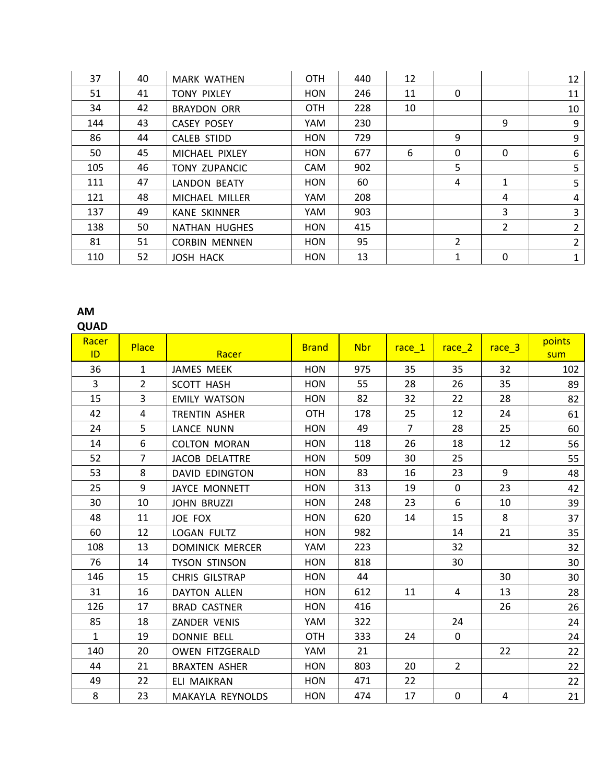| 37  | 40 | <b>MARK WATHEN</b>   | <b>OTH</b> | 440 | 12 |               |               | 12             |
|-----|----|----------------------|------------|-----|----|---------------|---------------|----------------|
| 51  | 41 | <b>TONY PIXLEY</b>   | <b>HON</b> | 246 | 11 | 0             |               | 11             |
| 34  | 42 | <b>BRAYDON ORR</b>   | <b>OTH</b> | 228 | 10 |               |               | 10             |
| 144 | 43 | <b>CASEY POSEY</b>   | YAM        | 230 |    |               | 9             | 9              |
| 86  | 44 | CALEB STIDD          | <b>HON</b> | 729 |    | 9             |               | 9              |
| 50  | 45 | MICHAEL PIXLEY       | <b>HON</b> | 677 | 6  | $\mathbf{0}$  | $\mathbf{0}$  | 6              |
| 105 | 46 | <b>TONY ZUPANCIC</b> | <b>CAM</b> | 902 |    | 5             |               | 5              |
| 111 | 47 | <b>LANDON BEATY</b>  | <b>HON</b> | 60  |    | 4             | 1             | 5              |
| 121 | 48 | MICHAEL MILLER       | YAM        | 208 |    |               | 4             | 4              |
| 137 | 49 | <b>KANE SKINNER</b>  | YAM        | 903 |    |               | 3             | 3              |
| 138 | 50 | <b>NATHAN HUGHES</b> | <b>HON</b> | 415 |    |               | $\mathcal{P}$ | $\overline{2}$ |
| 81  | 51 | <b>CORBIN MENNEN</b> | <b>HON</b> | 95  |    | $\mathcal{P}$ |               | 2              |
| 110 | 52 | <b>JOSH HACK</b>     | <b>HON</b> | 13  |    | $\mathbf{1}$  | 0             | 1              |

## **AM**

## **QUAD**

| Racer<br>ID    | <b>Place</b>   | Racer                  | <b>Brand</b> | <b>Nbr</b> | $rac{e}{1}$    | $rac{e}{2}$    | race_3 | points<br>sum |
|----------------|----------------|------------------------|--------------|------------|----------------|----------------|--------|---------------|
| 36             | $\mathbf{1}$   | JAMES MEEK             | <b>HON</b>   | 975        | 35             | 35             | 32     | 102           |
| $\overline{3}$ | $\overline{2}$ | <b>SCOTT HASH</b>      | <b>HON</b>   | 55         | 28             | 26             | 35     | 89            |
| 15             | $\overline{3}$ | <b>EMILY WATSON</b>    | <b>HON</b>   | 82         | 32             | 22             | 28     | 82            |
| 42             | 4              | TRENTIN ASHER          | <b>OTH</b>   | 178        | 25             | 12             | 24     | 61            |
| 24             | 5              | <b>LANCE NUNN</b>      | <b>HON</b>   | 49         | $\overline{7}$ | 28             | 25     | 60            |
| 14             | 6              | <b>COLTON MORAN</b>    | <b>HON</b>   | 118        | 26             | 18             | 12     | 56            |
| 52             | $\overline{7}$ | JACOB DELATTRE         | <b>HON</b>   | 509        | 30             | 25             |        | 55            |
| 53             | 8              | DAVID EDINGTON         | <b>HON</b>   | 83         | 16             | 23             | 9      | 48            |
| 25             | 9              | <b>JAYCE MONNETT</b>   | <b>HON</b>   | 313        | 19             | 0              | 23     | 42            |
| 30             | 10             | <b>JOHN BRUZZI</b>     | <b>HON</b>   | 248        | 23             | 6              | 10     | 39            |
| 48             | 11             | JOE FOX                | <b>HON</b>   | 620        | 14             | 15             | 8      | 37            |
| 60             | 12             | LOGAN FULTZ            | <b>HON</b>   | 982        |                | 14             | 21     | 35            |
| 108            | 13             | <b>DOMINICK MERCER</b> | YAM          | 223        |                | 32             |        | 32            |
| 76             | 14             | <b>TYSON STINSON</b>   | <b>HON</b>   | 818        |                | 30             |        | 30            |
| 146            | 15             | CHRIS GILSTRAP         | <b>HON</b>   | 44         |                |                | 30     | 30            |
| 31             | 16             | <b>DAYTON ALLEN</b>    | <b>HON</b>   | 612        | 11             | 4              | 13     | 28            |
| 126            | 17             | <b>BRAD CASTNER</b>    | <b>HON</b>   | 416        |                |                | 26     | 26            |
| 85             | 18             | ZANDER VENIS           | YAM          | 322        |                | 24             |        | 24            |
| $\mathbf{1}$   | 19             | <b>DONNIE BELL</b>     | <b>OTH</b>   | 333        | 24             | 0              |        | 24            |
| 140            | 20             | <b>OWEN FITZGERALD</b> | YAM          | 21         |                |                | 22     | 22            |
| 44             | 21             | <b>BRAXTEN ASHER</b>   | <b>HON</b>   | 803        | 20             | $\overline{2}$ |        | 22            |
| 49             | 22             | ELI MAIKRAN            | <b>HON</b>   | 471        | 22             |                |        | 22            |
| 8              | 23             | MAKAYLA REYNOLDS       | <b>HON</b>   | 474        | 17             | $\mathbf 0$    | 4      | 21            |